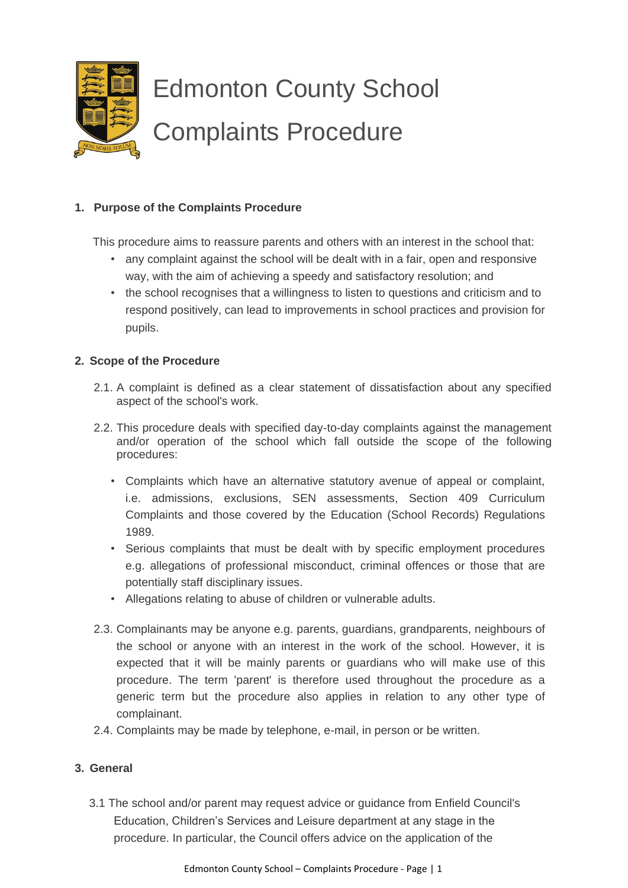

### **1. Purpose of the Complaints Procedure**

This procedure aims to reassure parents and others with an interest in the school that:

- any complaint against the school will be dealt with in a fair, open and responsive way, with the aim of achieving a speedy and satisfactory resolution; and
- the school recognises that a willingness to listen to questions and criticism and to respond positively, can lead to improvements in school practices and provision for pupils.

#### **2. Scope of the Procedure**

- 2.1. A complaint is defined as a clear statement of dissatisfaction about any specified aspect of the school's work.
- 2.2. This procedure deals with specified day-to-day complaints against the management and/or operation of the school which fall outside the scope of the following procedures:
	- Complaints which have an alternative statutory avenue of appeal or complaint, i.e. admissions, exclusions, SEN assessments, Section 409 Curriculum Complaints and those covered by the Education (School Records) Regulations 1989.
	- Serious complaints that must be dealt with by specific employment procedures e.g. allegations of professional misconduct, criminal offences or those that are potentially staff disciplinary issues.
	- Allegations relating to abuse of children or vulnerable adults.
- 2.3. Complainants may be anyone e.g. parents, guardians, grandparents, neighbours of the school or anyone with an interest in the work of the school. However, it is expected that it will be mainly parents or guardians who will make use of this procedure. The term 'parent' is therefore used throughout the procedure as a generic term but the procedure also applies in relation to any other type of complainant.
- 2.4. Complaints may be made by telephone, e-mail, in person or be written.

### **3. General**

3.1 The school and/or parent may request advice or guidance from Enfield Council's Education, Children's Services and Leisure department at any stage in the procedure. In particular, the Council offers advice on the application of the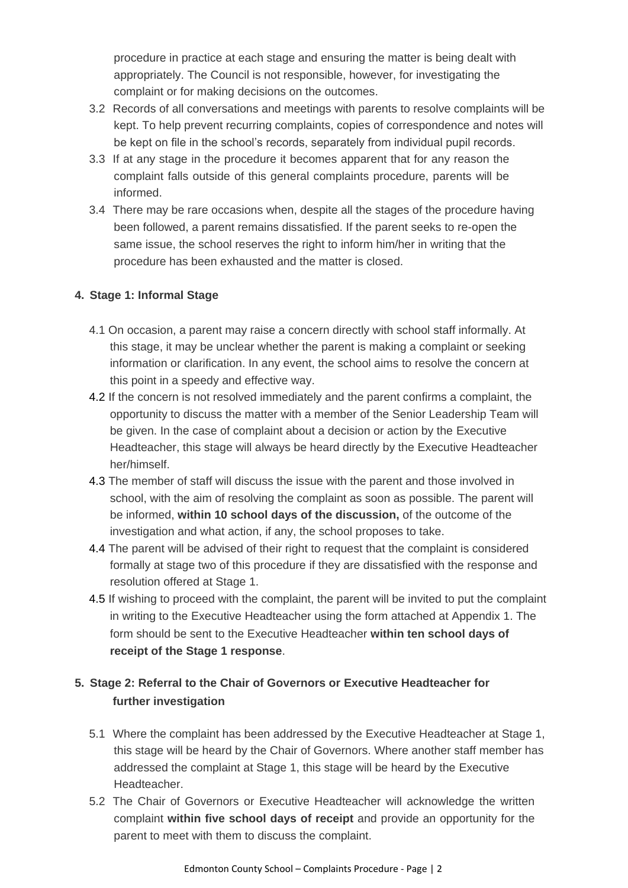procedure in practice at each stage and ensuring the matter is being dealt with appropriately. The Council is not responsible, however, for investigating the complaint or for making decisions on the outcomes.

- 3.2 Records of all conversations and meetings with parents to resolve complaints will be kept. To help prevent recurring complaints, copies of correspondence and notes will be kept on file in the school's records, separately from individual pupil records.
- 3.3 If at any stage in the procedure it becomes apparent that for any reason the complaint falls outside of this general complaints procedure, parents will be informed.
- 3.4 There may be rare occasions when, despite all the stages of the procedure having been followed, a parent remains dissatisfied. If the parent seeks to re-open the same issue, the school reserves the right to inform him/her in writing that the procedure has been exhausted and the matter is closed.

## **4. Stage 1: Informal Stage**

- 4.1 On occasion, a parent may raise a concern directly with school staff informally. At this stage, it may be unclear whether the parent is making a complaint or seeking information or clarification. In any event, the school aims to resolve the concern at this point in a speedy and effective way.
- 4.2 If the concern is not resolved immediately and the parent confirms a complaint, the opportunity to discuss the matter with a member of the Senior Leadership Team will be given. In the case of complaint about a decision or action by the Executive Headteacher, this stage will always be heard directly by the Executive Headteacher her/himself.
- 4.3 The member of staff will discuss the issue with the parent and those involved in school, with the aim of resolving the complaint as soon as possible. The parent will be informed, **within 10 school days of the discussion,** of the outcome of the investigation and what action, if any, the school proposes to take.
- 4.4 The parent will be advised of their right to request that the complaint is considered formally at stage two of this procedure if they are dissatisfied with the response and resolution offered at Stage 1.
- 4.5 If wishing to proceed with the complaint, the parent will be invited to put the complaint in writing to the Executive Headteacher using the form attached at Appendix 1. The form should be sent to the Executive Headteacher **within ten school days of receipt of the Stage 1 response**.

# **5. Stage 2: Referral to the Chair of Governors or Executive Headteacher for further investigation**

- 5.1 Where the complaint has been addressed by the Executive Headteacher at Stage 1, this stage will be heard by the Chair of Governors. Where another staff member has addressed the complaint at Stage 1, this stage will be heard by the Executive Headteacher.
- 5.2 The Chair of Governors or Executive Headteacher will acknowledge the written complaint **within five school days of receipt** and provide an opportunity for the parent to meet with them to discuss the complaint.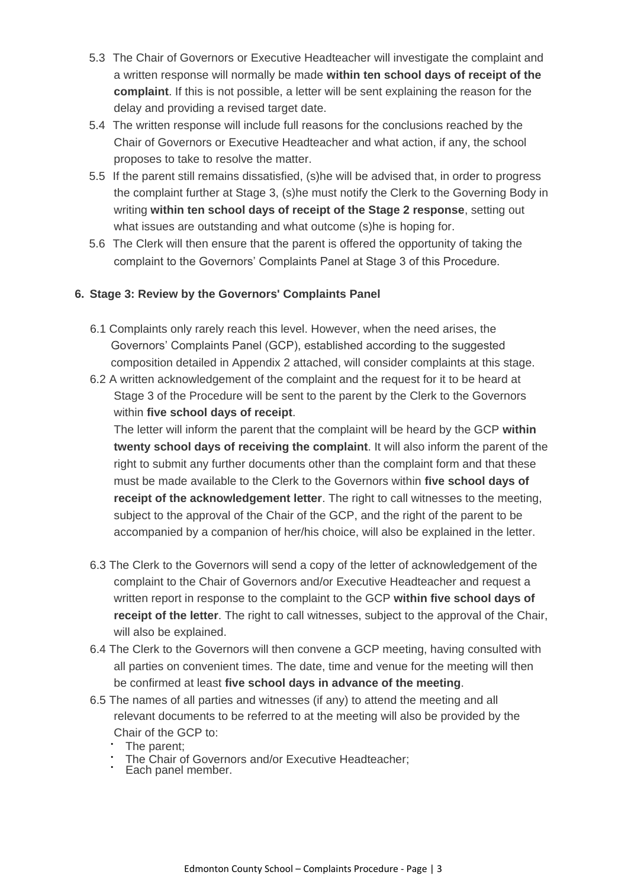- 5.3 The Chair of Governors or Executive Headteacher will investigate the complaint and a written response will normally be made **within ten school days of receipt of the complaint**. If this is not possible, a letter will be sent explaining the reason for the delay and providing a revised target date.
- 5.4 The written response will include full reasons for the conclusions reached by the Chair of Governors or Executive Headteacher and what action, if any, the school proposes to take to resolve the matter.
- 5.5 If the parent still remains dissatisfied, (s)he will be advised that, in order to progress the complaint further at Stage 3, (s)he must notify the Clerk to the Governing Body in writing **within ten school days of receipt of the Stage 2 response**, setting out what issues are outstanding and what outcome (s)he is hoping for.
- 5.6 The Clerk will then ensure that the parent is offered the opportunity of taking the complaint to the Governors' Complaints Panel at Stage 3 of this Procedure.

### **6. Stage 3: Review by the Governors' Complaints Panel**

- 6.1 Complaints only rarely reach this level. However, when the need arises, the Governors' Complaints Panel (GCP), established according to the suggested composition detailed in Appendix 2 attached, will consider complaints at this stage.
- 6.2 A written acknowledgement of the complaint and the request for it to be heard at Stage 3 of the Procedure will be sent to the parent by the Clerk to the Governors within **five school days of receipt**.

The letter will inform the parent that the complaint will be heard by the GCP **within twenty school days of receiving the complaint**. It will also inform the parent of the right to submit any further documents other than the complaint form and that these must be made available to the Clerk to the Governors within **five school days of receipt of the acknowledgement letter**. The right to call witnesses to the meeting, subject to the approval of the Chair of the GCP, and the right of the parent to be accompanied by a companion of her/his choice, will also be explained in the letter.

- 6.3 The Clerk to the Governors will send a copy of the letter of acknowledgement of the complaint to the Chair of Governors and/or Executive Headteacher and request a written report in response to the complaint to the GCP **within five school days of receipt of the letter**. The right to call witnesses, subject to the approval of the Chair, will also be explained.
- 6.4 The Clerk to the Governors will then convene a GCP meeting, having consulted with all parties on convenient times. The date, time and venue for the meeting will then be confirmed at least **five school days in advance of the meeting**.
- 6.5 The names of all parties and witnesses (if any) to attend the meeting and all relevant documents to be referred to at the meeting will also be provided by the Chair of the GCP to:
	- The parent;
	- The Chair of Governors and/or Executive Headteacher; • The Chair or **buyoned**<br>• Each panel member.
	-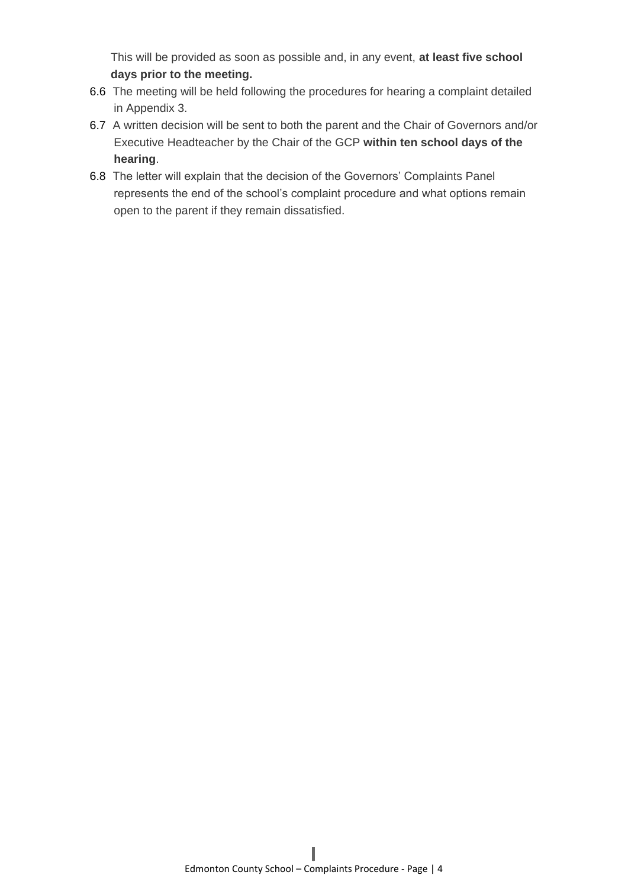This will be provided as soon as possible and, in any event, **at least five school days prior to the meeting.**

- 6.6 The meeting will be held following the procedures for hearing a complaint detailed in Appendix 3.
- 6.7 A written decision will be sent to both the parent and the Chair of Governors and/or Executive Headteacher by the Chair of the GCP **within ten school days of the hearing**.
- 6.8 The letter will explain that the decision of the Governors' Complaints Panel represents the end of the school's complaint procedure and what options remain open to the parent if they remain dissatisfied.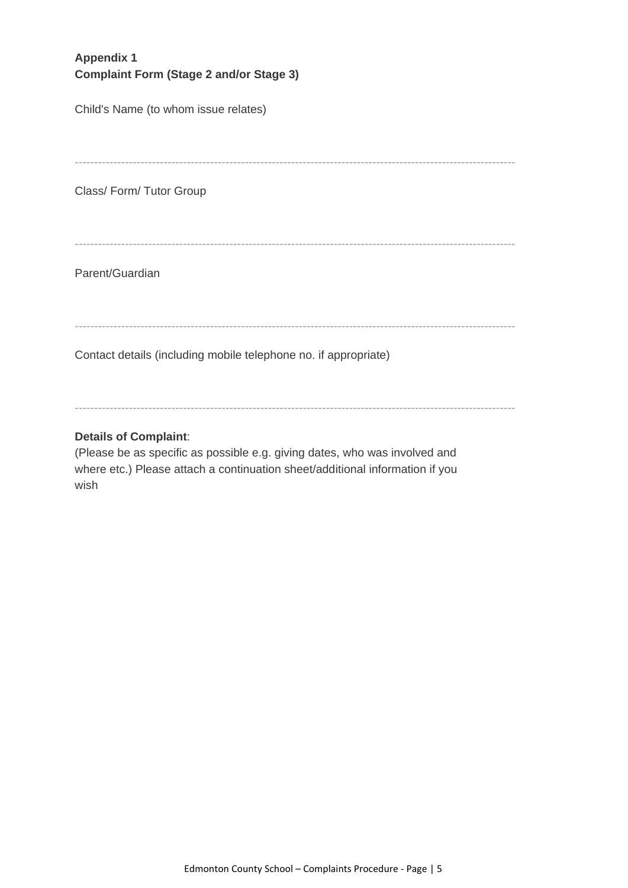# **Appendix 1 Complaint Form (Stage 2 and/or Stage 3)**

Child's Name (to whom issue relates)

------------------------------------------------------------------------------------------------------------------

Class/ Form/ Tutor Group

------------------------------------------------------------------------------------------------------------------

Parent/Guardian

------------------------------------------------------------------------------------------------------------------

Contact details (including mobile telephone no. if appropriate)

------------------------------------------------------------------------------------------------------------------

#### **Details of Complaint**:

(Please be as specific as possible e.g. giving dates, who was involved and where etc.) Please attach a continuation sheet/additional information if you wish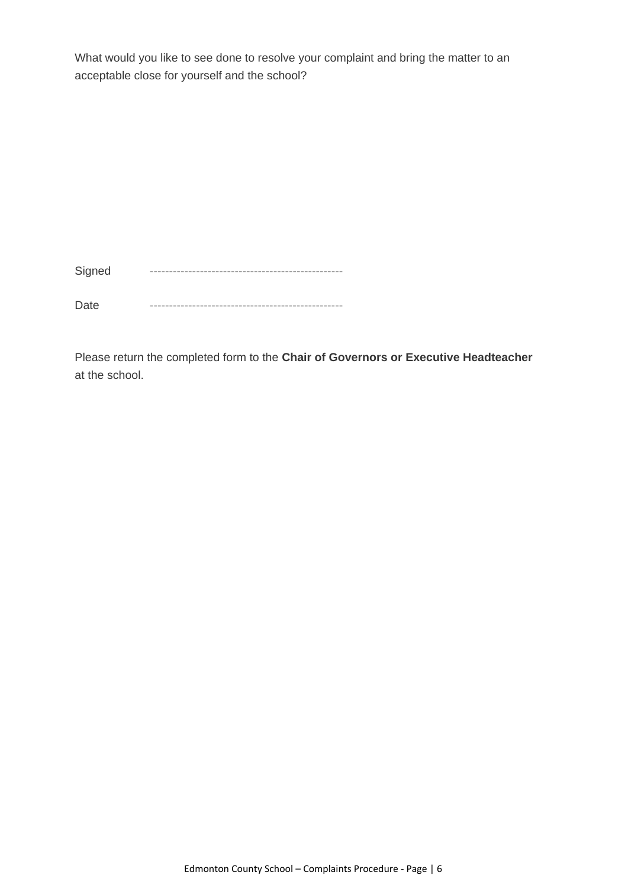What would you like to see done to resolve your complaint and bring the matter to an acceptable close for yourself and the school?

Signed --------------------------------------------------

Date --------------------------------------------------

Please return the completed form to the **Chair of Governors or Executive Headteacher** at the school.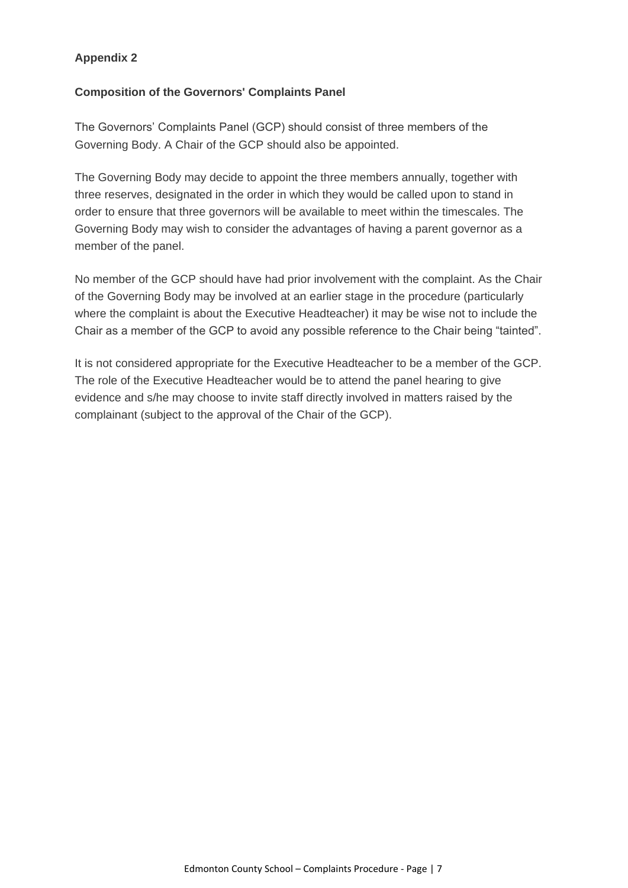## **Appendix 2**

#### **Composition of the Governors' Complaints Panel**

The Governors' Complaints Panel (GCP) should consist of three members of the Governing Body. A Chair of the GCP should also be appointed.

The Governing Body may decide to appoint the three members annually, together with three reserves, designated in the order in which they would be called upon to stand in order to ensure that three governors will be available to meet within the timescales. The Governing Body may wish to consider the advantages of having a parent governor as a member of the panel.

No member of the GCP should have had prior involvement with the complaint. As the Chair of the Governing Body may be involved at an earlier stage in the procedure (particularly where the complaint is about the Executive Headteacher) it may be wise not to include the Chair as a member of the GCP to avoid any possible reference to the Chair being "tainted".

It is not considered appropriate for the Executive Headteacher to be a member of the GCP. The role of the Executive Headteacher would be to attend the panel hearing to give evidence and s/he may choose to invite staff directly involved in matters raised by the complainant (subject to the approval of the Chair of the GCP).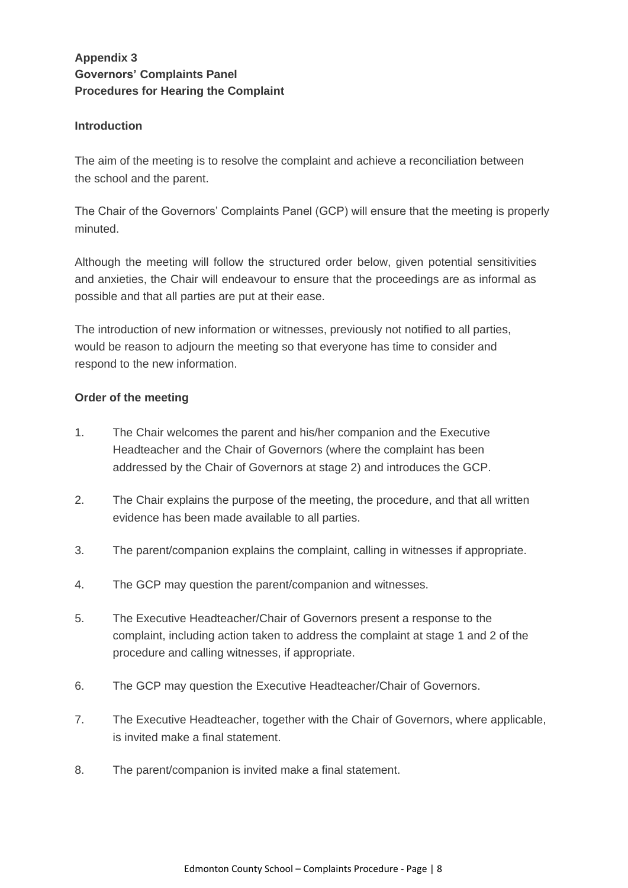# **Appendix 3 Governors' Complaints Panel Procedures for Hearing the Complaint**

#### **Introduction**

The aim of the meeting is to resolve the complaint and achieve a reconciliation between the school and the parent.

The Chair of the Governors' Complaints Panel (GCP) will ensure that the meeting is properly minuted.

Although the meeting will follow the structured order below, given potential sensitivities and anxieties, the Chair will endeavour to ensure that the proceedings are as informal as possible and that all parties are put at their ease.

The introduction of new information or witnesses, previously not notified to all parties, would be reason to adjourn the meeting so that everyone has time to consider and respond to the new information.

#### **Order of the meeting**

- 1. The Chair welcomes the parent and his/her companion and the Executive Headteacher and the Chair of Governors (where the complaint has been addressed by the Chair of Governors at stage 2) and introduces the GCP.
- 2. The Chair explains the purpose of the meeting, the procedure, and that all written evidence has been made available to all parties.
- 3. The parent/companion explains the complaint, calling in witnesses if appropriate.
- 4. The GCP may question the parent/companion and witnesses.
- 5. The Executive Headteacher/Chair of Governors present a response to the complaint, including action taken to address the complaint at stage 1 and 2 of the procedure and calling witnesses, if appropriate.
- 6. The GCP may question the Executive Headteacher/Chair of Governors.
- 7. The Executive Headteacher, together with the Chair of Governors, where applicable, is invited make a final statement.
- 8. The parent/companion is invited make a final statement.